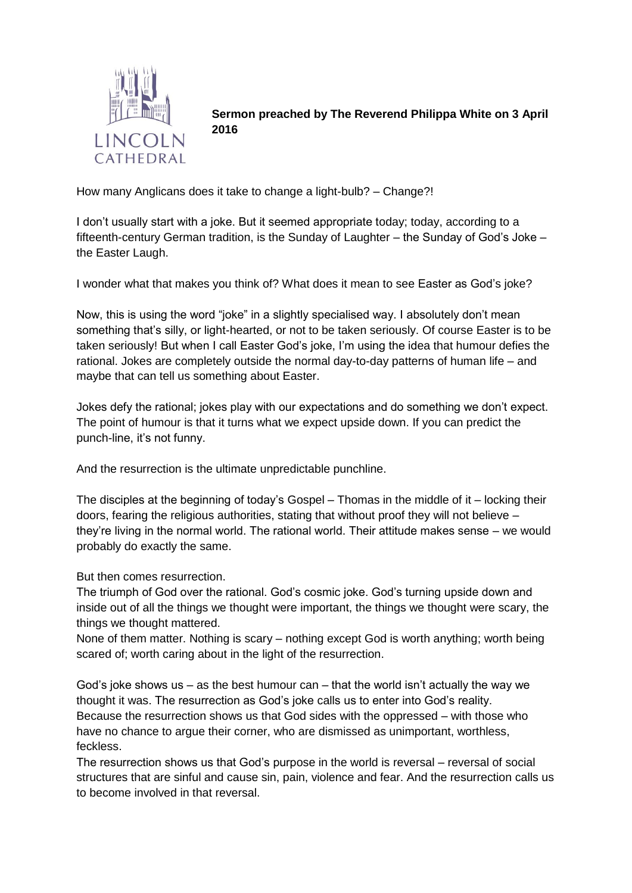

**Sermon preached by The Reverend Philippa White on 3 April 2016**

How many Anglicans does it take to change a light-bulb? – Change?!

I don't usually start with a joke. But it seemed appropriate today; today, according to a fifteenth-century German tradition, is the Sunday of Laughter – the Sunday of God's Joke – the Easter Laugh.

I wonder what that makes you think of? What does it mean to see Easter as God's joke?

Now, this is using the word "joke" in a slightly specialised way. I absolutely don't mean something that's silly, or light-hearted, or not to be taken seriously. Of course Easter is to be taken seriously! But when I call Easter God's joke, I'm using the idea that humour defies the rational. Jokes are completely outside the normal day-to-day patterns of human life – and maybe that can tell us something about Easter.

Jokes defy the rational; jokes play with our expectations and do something we don't expect. The point of humour is that it turns what we expect upside down. If you can predict the punch-line, it's not funny.

And the resurrection is the ultimate unpredictable punchline.

The disciples at the beginning of today's Gospel – Thomas in the middle of it – locking their doors, fearing the religious authorities, stating that without proof they will not believe – they're living in the normal world. The rational world. Their attitude makes sense – we would probably do exactly the same.

But then comes resurrection.

The triumph of God over the rational. God's cosmic joke. God's turning upside down and inside out of all the things we thought were important, the things we thought were scary, the things we thought mattered.

None of them matter. Nothing is scary – nothing except God is worth anything; worth being scared of; worth caring about in the light of the resurrection.

God's joke shows us – as the best humour can – that the world isn't actually the way we thought it was. The resurrection as God's joke calls us to enter into God's reality. Because the resurrection shows us that God sides with the oppressed – with those who have no chance to argue their corner, who are dismissed as unimportant, worthless, feckless.

The resurrection shows us that God's purpose in the world is reversal – reversal of social structures that are sinful and cause sin, pain, violence and fear. And the resurrection calls us to become involved in that reversal.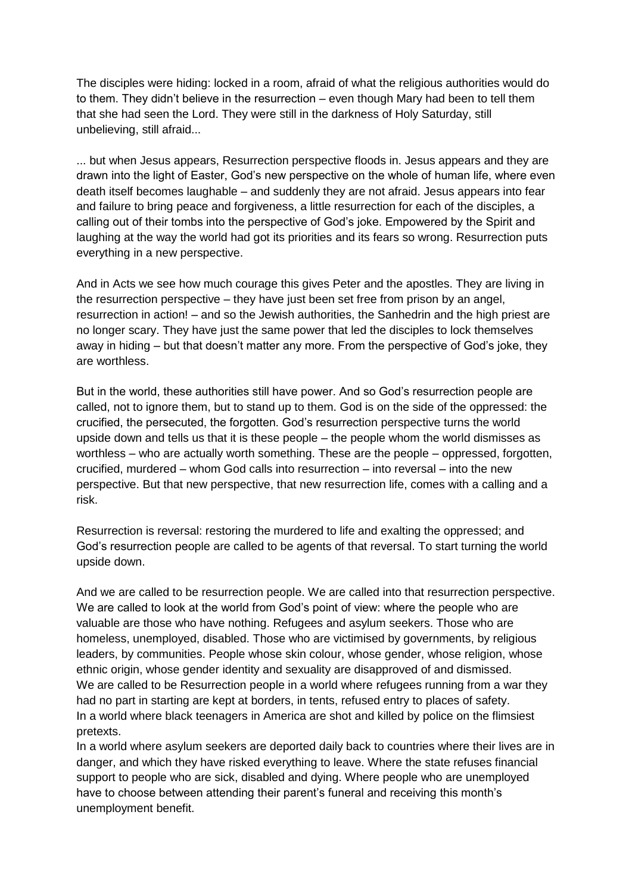The disciples were hiding: locked in a room, afraid of what the religious authorities would do to them. They didn't believe in the resurrection – even though Mary had been to tell them that she had seen the Lord. They were still in the darkness of Holy Saturday, still unbelieving, still afraid...

... but when Jesus appears, Resurrection perspective floods in. Jesus appears and they are drawn into the light of Easter, God's new perspective on the whole of human life, where even death itself becomes laughable – and suddenly they are not afraid. Jesus appears into fear and failure to bring peace and forgiveness, a little resurrection for each of the disciples, a calling out of their tombs into the perspective of God's joke. Empowered by the Spirit and laughing at the way the world had got its priorities and its fears so wrong. Resurrection puts everything in a new perspective.

And in Acts we see how much courage this gives Peter and the apostles. They are living in the resurrection perspective – they have just been set free from prison by an angel, resurrection in action! – and so the Jewish authorities, the Sanhedrin and the high priest are no longer scary. They have just the same power that led the disciples to lock themselves away in hiding – but that doesn't matter any more. From the perspective of God's joke, they are worthless.

But in the world, these authorities still have power. And so God's resurrection people are called, not to ignore them, but to stand up to them. God is on the side of the oppressed: the crucified, the persecuted, the forgotten. God's resurrection perspective turns the world upside down and tells us that it is these people – the people whom the world dismisses as worthless – who are actually worth something. These are the people – oppressed, forgotten, crucified, murdered – whom God calls into resurrection – into reversal – into the new perspective. But that new perspective, that new resurrection life, comes with a calling and a risk.

Resurrection is reversal: restoring the murdered to life and exalting the oppressed; and God's resurrection people are called to be agents of that reversal. To start turning the world upside down.

And we are called to be resurrection people. We are called into that resurrection perspective. We are called to look at the world from God's point of view: where the people who are valuable are those who have nothing. Refugees and asylum seekers. Those who are homeless, unemployed, disabled. Those who are victimised by governments, by religious leaders, by communities. People whose skin colour, whose gender, whose religion, whose ethnic origin, whose gender identity and sexuality are disapproved of and dismissed. We are called to be Resurrection people in a world where refugees running from a war they had no part in starting are kept at borders, in tents, refused entry to places of safety. In a world where black teenagers in America are shot and killed by police on the flimsiest pretexts.

In a world where asylum seekers are deported daily back to countries where their lives are in danger, and which they have risked everything to leave. Where the state refuses financial support to people who are sick, disabled and dying. Where people who are unemployed have to choose between attending their parent's funeral and receiving this month's unemployment benefit.